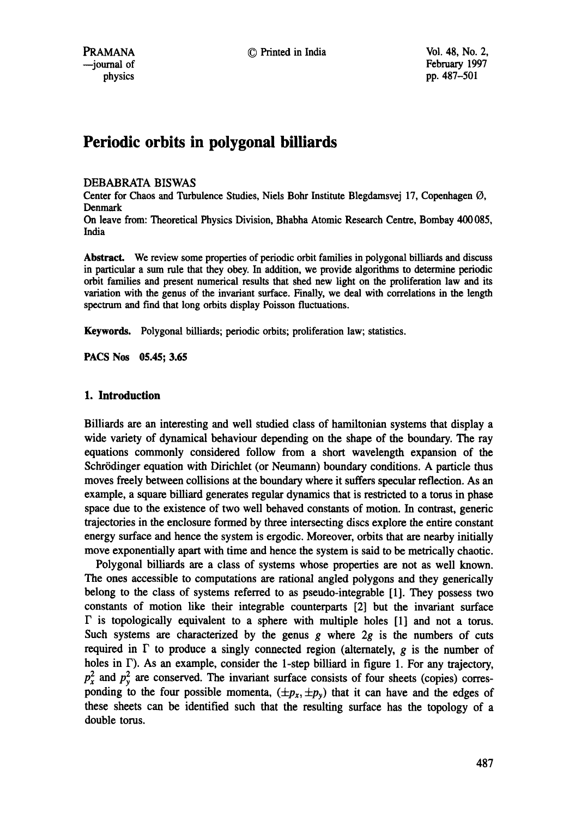# **Periodic orbits in polygonal billiards**

### DEBABRATA BISWAS

Center for Chaos and Turbulence Studies, Niels Bohr Institute Blegdamsvej 17, Copenhagen O, Denmark

On leave from: Theoretical Physics Division, Bhabha Atomic Research Centre, Bombay 400085, India

Abstract. We review some properties of periodic orbit families in polygonal billiards and discuss in particular a sum rule that they obey. In addition, we provide algorithms to determine periodic orbit families and present numerical results that shed new light on the proliferation law and its variation with the genus of the invariant surface. Finally, we deal with correlations in the length spectrum and find that long orbits display Poisson fluctuations.

Keywords. Polygonal billiards; periodic orbits; proliferation law; statistics.

**PACS Nos 05.45; 3.65** 

### **1. Introduction**

Billiards are an interesting and well studied class of hamiltonian systems that display a wide variety of dynamical behaviour depending on the shape of the boundary. The ray equations commonly considered follow from a short wavelength expansion of the Schrödinger equation with Dirichlet (or Neumann) boundary conditions. A particle thus moves freely between collisions at the boundary where it suffers specular reflection. As an example, a square billiard generates regular dynamics that is restricted to a torus in phase space due to the existence of two well behaved constants of motion. In contrast, generic trajectories in the enclosure formed by three intersecting discs explore the entire constant energy surface and hence the system is ergodic. Moreover, orbits that are nearby initially move exponentially apart with time and hence the system is said to be metrically chaotic.

Polygonal billiards are a class of systems whose properties are not as well known. The ones accessible to computations are rational angled polygons and they generically belong to the class of systems referred to as pseudo-integrable [1]. They possess two constants of motion like their integrable counterparts [2] but the invariant surface  $\Gamma$  is topologically equivalent to a sphere with multiple holes  $[1]$  and not a torus. Such systems are characterized by the genus g where  $2g$  is the numbers of cuts required in  $\Gamma$  to produce a singly connected region (alternately, g is the number of holes in  $\Gamma$ ). As an example, consider the 1-step billiard in figure 1. For any trajectory,  $p_x^2$  and  $p_y^2$  are conserved. The invariant surface consists of four sheets (copies) corresponding to the four possible momenta,  $(\pm p_x, \pm p_y)$  that it can have and the edges of these sheets can be identified such that the resulting surface has the topology of a double toms.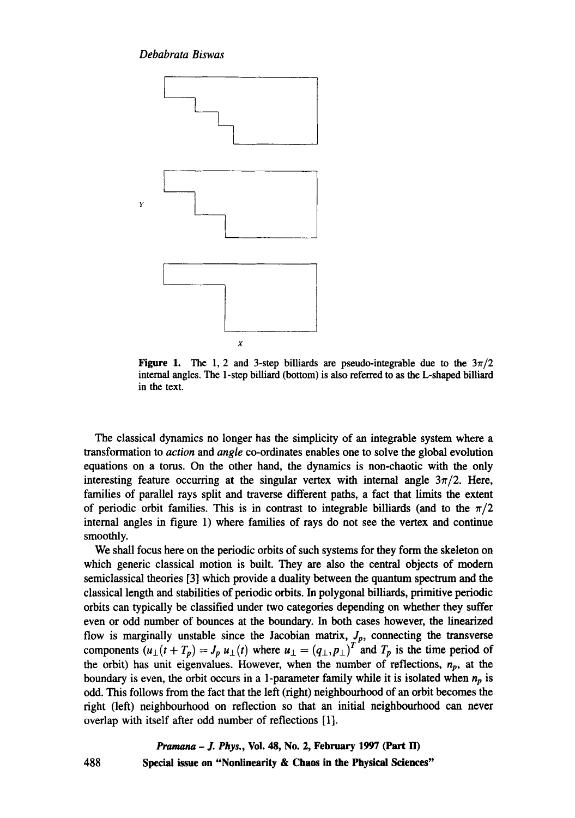

**Figure 1.** The 1, 2 and 3-step billiards are pseudo-integrable due to the  $3\pi/2$ internal angles. The 1-step billiard (bottom) is also referred to as the L-shaped billiard in the text.

The classical dynamics no longer has the simplicity of an integrable system where a transformation to *action and angle* co-ordinates enables one to solve the global evolution equations on a toms. On the other hand, the dynamics is non-chaotic with the only interesting feature occurring at the singular vertex with internal angle  $3\pi/2$ . Here, families of parallel rays split and traverse different paths, a fact that limits the extent of periodic orbit families. This is in contrast to integrable billiards (and to the  $\pi/2$ internal angles in figure 1) where families of rays do not see the vertex and continue smoothly.

We shall focus here on the periodic orbits of such systems for they form the skeleton on which generic classical motion is built. They are also the central objects of modem semiclassical theories [3] which provide a duality between the quantum spectrum and the classical length and stabilities of periodic orbits. In polygonal billiards, primitive periodic orbits can typically be classified under two categories depending on whether they suffer even or odd number of bounces at the boundary. In both cases however, the linearized flow is marginally unstable since the Jacobian matrix, *Jp,* connecting the transverse components  $(u_{\perp}(t + T_p) = J_p u_{\perp}(t)$  where  $u_{\perp} = (q_{\perp}, p_{\perp})^T$  and  $T_p$  is the time period of the orbit) has unit eigenvalues. However, when the number of reflections,  $n_p$ , at the boundary is even, the orbit occurs in a 1-parameter family while it is isolated when  $n_p$  is odd. This follows from the fact that the left (right) neighbourhood of an orbit becomes the right (left) neighbourhood on reflection so that an initial neighbourhood can never overlap with itself after odd number of reflections [1].

> *Pramana - J. Phys.,* **Vol. 48, No. 2, February 1997 (Part lI) Special issue on "Nonlinearity & Chaos in the Physical Sciences"**

488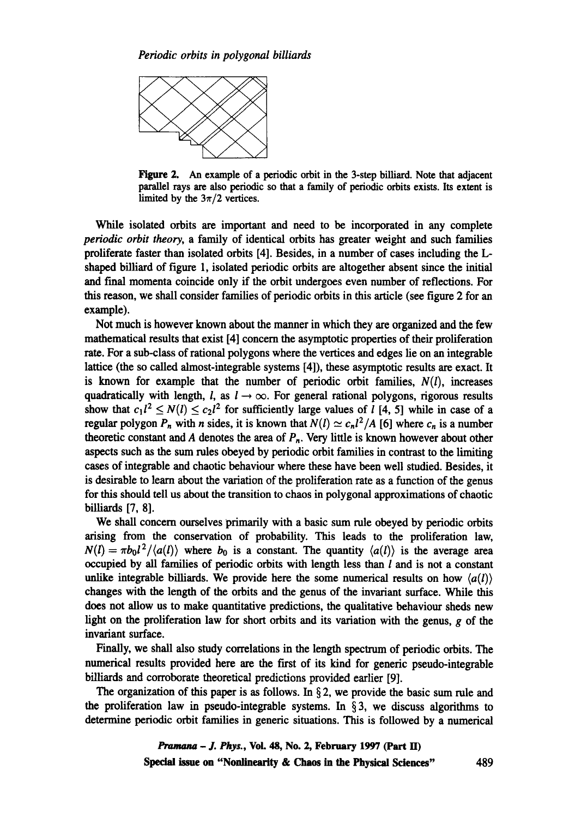

Figure 2. An example of a periodic orbit in the 3-step billiard. Note that adjacent parallel rays are also periodic so that a family of periodic orbits exists. Its extent is limited by the  $3\pi/2$  vertices.

While isolated orbits are important and need to be incorporated in any complete *periodic orbit theory,* a family of identical orbits has greater weight and such families proliferate faster than isolated orbits [4]. Besides, in a number of cases including the Lshaped billiard of figure 1, isolated periodic orbits are altogether absent since the initial and fmal momenta coincide only if the orbit undergoes even number of reflections. For this reason, we shall consider families of periodic orbits in this article (see figure 2 for an example).

Not much is however known about the manner in which they are organized and the few mathematical results that exist [4] concern the asymptotic properties of their proliferation rate. For a sub-class of rational polygons where the vertices and edges lie on an integrable lattice (the so called almost-integrable systems [4]), these asymptotic results are exact. It is known for example that the number of periodic orbit families,  $N(l)$ , increases quadratically with length, l, as  $l \rightarrow \infty$ . For general rational polygons, rigorous results show that  $c_1 l^2 \le N(l) \le c_2 l^2$  for sufficiently large values of *l* [4, 5] while in case of a regular polygon  $P_n$  with *n* sides, it is known that  $N(l) \simeq c_n l^2 / A$  [6] where  $c_n$  is a number theoretic constant and A denotes the area of  $P_n$ . Very little is known however about other aspects such as the sum rules obeyed by periodic orbit families in contrast to the limiting cases of integrable and chaotic behaviour where these have been well studied. Besides, it is desirable to learn about the variation of the proliferation rate as a function of the genus for this should tell us about the transition to chaos in polygonal approximations of chaotic billiards [7, 8].

We shall concern ourselves primarily with a basic sum rule obeyed by periodic orbits arising from the conservation of probability. This leads to the proliferation law,  $N(l) = \pi b_0 l^2 / \langle a(l) \rangle$  where  $b_0$  is a constant. The quantity  $\langle a(l) \rangle$  is the average area occupied by all families of periodic orbits with length less than  $l$  and is not a constant unlike integrable billiards. We provide here the some numerical results on how  $\langle a(l) \rangle$ changes with the length of the orbits and the genus of the invariant surface. While this does not allow us to make quantitative predictions, the qualitative behaviour sheds new light on the proliferation law for short orbits and its variation with the genus, g of the invariant surface.

Finally, we shall also study correlations in the length spectrum of periodic orbits. The numerical results provided here are the first of its kind for generic pseudo-integrable billiards and corroborate theoretical predictions provided earlier [9].

The organization of this paper is as follows. In  $\S 2$ , we provide the basic sum rule and the proliferation law in pseudo-integrable systems. In  $\S$ 3, we discuss algorithms to determine periodic orbit families in generic situations. This is followed by a numerical

> *Pramana - J. Phys.,* **Voi. 48, No. 2, February 1997 (Part H) Special issue on "Nonlinearity & Chaos in the Physical Sciences"** 489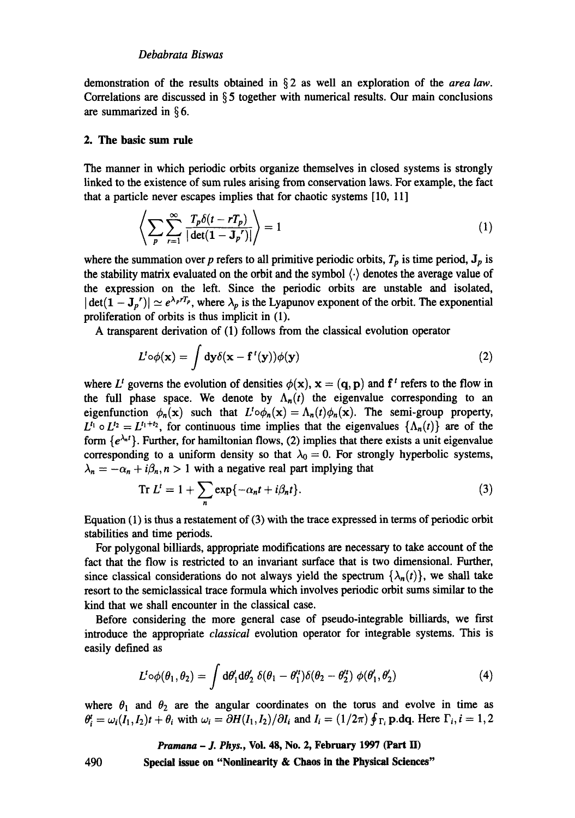demonstration of the results obtained in § 2 as well an exploration of the *area law.*  Correlations are discussed in  $\S 5$  together with numerical results. Our main conclusions are summarized in § 6.

### **2. The basic sum rule**

The manner in which periodic orbits organize themselves in closed systems is strongly linked to the existence of sum rules arising from conservation laws. For example, the fact that a particle never escapes implies that for chaotic systems [10, 11]

$$
\left\langle \sum_{p} \sum_{r=1}^{\infty} \frac{T_p \delta(t - rT_p)}{|\det(\mathbf{1} - \mathbf{J}_p^{\prime})|} \right\rangle = 1 \tag{1}
$$

where the summation over p refers to all primitive periodic orbits,  $T_p$  is time period,  $J_p$  is the stability matrix evaluated on the orbit and the symbol  $\langle \cdot \rangle$  denotes the average value of the expression on the left. Since the periodic orbits are unstable and isolated,  $|\det(\mathbf{1}-\mathbf{J}_p')| \simeq e^{\lambda_p r T_p}$ , where  $\lambda_p$  is the Lyapunov exponent of the orbit. The exponential proliferation of orbits is thus implicit in (1).

A transparent derivation of (1) follows from the classical evolution operator

$$
L^{t} \circ \phi(\mathbf{x}) = \int d\mathbf{y} \delta(\mathbf{x} - \mathbf{f}^{t}(\mathbf{y})) \phi(\mathbf{y})
$$
 (2)

where L<sup>t</sup> governs the evolution of densities  $\phi(\mathbf{x})$ ,  $\mathbf{x} = (\mathbf{q}, \mathbf{p})$  and  $\mathbf{f}^t$  refers to the flow in the full phase space. We denote by  $\Lambda_n(t)$  the eigenvalue corresponding to an eigenfunction  $\phi_n(x)$  such that  $L^t \circ \phi_n(x) = \Lambda_n(t) \phi_n(x)$ . The semi-group property,  $L^{t_1} \circ L^{t_2} = L^{t_1+t_2}$ , for continuous time implies that the eigenvalues  $\{\Lambda_n(t)\}\$ are of the form  $\{e^{\lambda_n t}\}\$ . Further, for hamiltonian flows, (2) implies that there exists a unit eigenvalue corresponding to a uniform density so that  $\lambda_0 = 0$ . For strongly hyperbolic systems,  $\lambda_n = -\alpha_n + i\beta_n, n > 1$  with a negative real part implying that

$$
\operatorname{Tr} L^{t} = 1 + \sum_{n} \exp\{-\alpha_{n}t + i\beta_{n}t\}.
$$
 (3)

Equation (1) is thus a restatement of (3) with the trace expressed in terms of periodic orbit stabilities and time periods.

For polygonal billiards, appropriate modifications are necessary to take account of the fact that the flow is restricted to an invariant surface that is two dimensional. Further, since classical considerations do not always yield the spectrum  $\{\lambda_n(t)\}\)$ , we shall take resort to the semiclassical trace formula which involves periodic orbit sums similar to the kind that we shall encounter in the classical case.

Before considering the more general case of pseudo-integrable billiards, we first introduce the appropriate *classical* evolution operator for integrable systems. This is easily defined as

$$
L^{t} \circ \phi(\theta_1, \theta_2) = \int d\theta_1' d\theta_2' \; \delta(\theta_1 - \theta_1'') \delta(\theta_2 - \theta_2'') \; \phi(\theta_1', \theta_2')
$$
 (4)

where  $\theta_1$  and  $\theta_2$  are the angular coordinates on the torus and evolve in time as  $\theta_i^i = \omega_i (I_1, I_2) t + \theta_i$  with  $\omega_i = \partial H(I_1, I_2) / \partial I_i$  and  $I_i = (1/2\pi) \oint_{\Gamma_i} p \cdot dq$ . Here  $\Gamma_i$ ,  $i = 1, 2$ 

*Pramana - J. Phys.,* **Voi. 48, No. 2, February 1997 (Part I/)** 

**490 Special issue on "Nonlinearity & Chaos in the Physical Sciences"**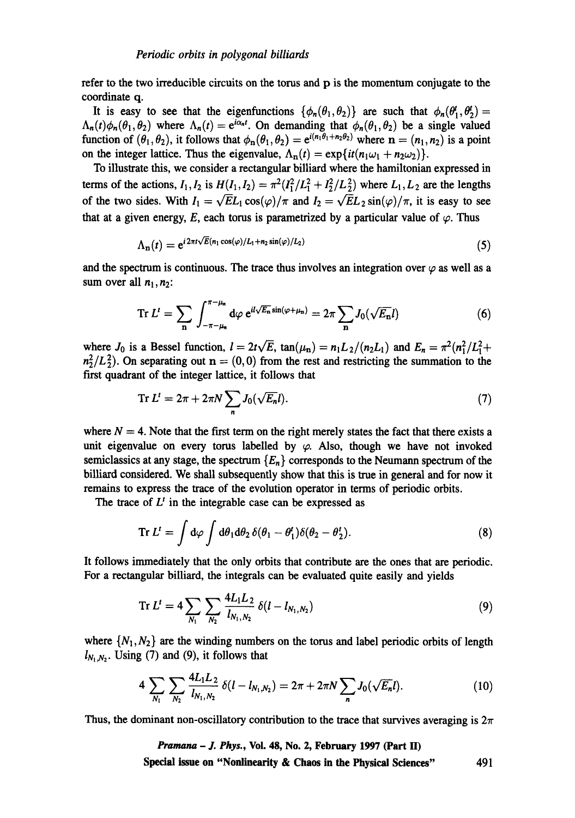refer to the two irreducible circuits on the torus and p is the momentum conjugate to the coordinate q.

It is easy to see that the eigenfunctions  $\{\phi_n(\theta_1,\theta_2)\}\$  are such that  $\phi_n(\theta'_1,\theta'_2)=$  $\Lambda_n(t)\phi_n(\theta_1,\theta_2)$  where  $\Lambda_n(t)= e^{i\alpha_nt}$ . On demanding that  $\phi_n(\theta_1,\theta_2)$  be a single valued function of  $(\theta_1, \theta_2)$ , it follows that  $\phi_n(\theta_1, \theta_2) = e^{i(n_1\theta_1+n_2\theta_2)}$  where  $n = (n_1, n_2)$  is a point on the integer lattice. Thus the eigenvalue,  $\Lambda_n(t) = \exp\{it(n_1\omega_1 + n_2\omega_2)\}.$ 

To illustrate this, we consider a rectangular billiard where the hamiltonian expressed in terms of the actions,  $I_1, I_2$  is  $H(I_1, I_2) = \pi^2 (I_1^2 / L_1^2 + I_2^2 / L_2^2)$  where  $L_1, L_2$  are the lengths of the two sides. With  $I_1 = \sqrt{E}L_1 \cos(\varphi)/\pi$  and  $I_2 = \sqrt{E}L_2 \sin(\varphi)/\pi$ , it is easy to see that at a given energy, E, each torus is parametrized by a particular value of  $\varphi$ . Thus

$$
\Lambda_n(t) = e^{i2\pi t\sqrt{E}(n_1\cos(\varphi)/L_1 + n_2\sin(\varphi)/L_2)}\tag{5}
$$

and the spectrum is continuous. The trace thus involves an integration over  $\varphi$  as well as a sum over all  $n_1, n_2$ :

$$
\operatorname{Tr} L' = \sum_{\mathbf{n}} \int_{-\pi - \mu_{\mathbf{n}}}^{\pi - \mu_{\mathbf{n}}} d\varphi \ e^{il\sqrt{E_{\mathbf{n}}}\sin(\varphi + \mu_{\mathbf{n}})} = 2\pi \sum_{\mathbf{n}} J_0(\sqrt{E_{\mathbf{n}}}l) \tag{6}
$$

where  $J_0$  is a Bessel function,  $l = 2t\sqrt{E}$ ,  $\tan(\mu_n) = n_1L_2/(n_2L_1)$  and  $E_n = \pi^2(n_1^2/L_1^2 +$  $n_2^2/L_2^2$ . On separating out  $n = (0,0)$  from the rest and restricting the summation to the first quadrant of the integer lattice, it follows that

$$
\operatorname{Tr} L^t = 2\pi + 2\pi N \sum_{n} J_0(\sqrt{E_n}l). \tag{7}
$$

where  $N = 4$ . Note that the first term on the right merely states the fact that there exists a unit eigenvalue on every torus labelled by  $\varphi$ . Also, though we have not invoked semiclassics at any stage, the spectrum  ${E_n}$  corresponds to the Neumann spectrum of the billiard considered. We shall subsequently show that this is true in general and for now it remains to express the trace of the evolution operator in terms of periodic orbits.

The trace of  $L^t$  in the integrable case can be expressed as

$$
\operatorname{Tr} L^t = \int d\varphi \int d\theta_1 d\theta_2 \, \delta(\theta_1 - \theta_1^t) \delta(\theta_2 - \theta_2^t). \tag{8}
$$

It follows immediately that the only orbits that contribute are the ones that are periodic. For a rectangular billiard, the integrals can be evaluated quite easily and yields

Tr 
$$
L^t = 4 \sum_{N_1} \sum_{N_2} \frac{4L_1L_2}{l_{N_1,N_2}} \delta(l - l_{N_1,N_2})
$$
 (9)

where  $\{N_1, N_2\}$  are the winding numbers on the torus and label periodic orbits of length  $l_{N_1,N_2}$ . Using (7) and (9), it follows that

$$
4\sum_{N_1}\sum_{N_2}\frac{4L_1L_2}{l_{N_1,N_2}}\,\delta(l-l_{N_1,N_2})=2\pi+2\pi N\sum_n J_0(\sqrt{E_n}l). \hspace{1cm} (10)
$$

Thus, the dominant non-oscillatory contribution to the trace that survives averaging is  $2\pi$ 

*Pramana - J. Phys.,* Vol. 48, No. 2, February 1997 (Part II) Special issue **on "Nonlinearity & Chaos in the Physical Sciences"** 491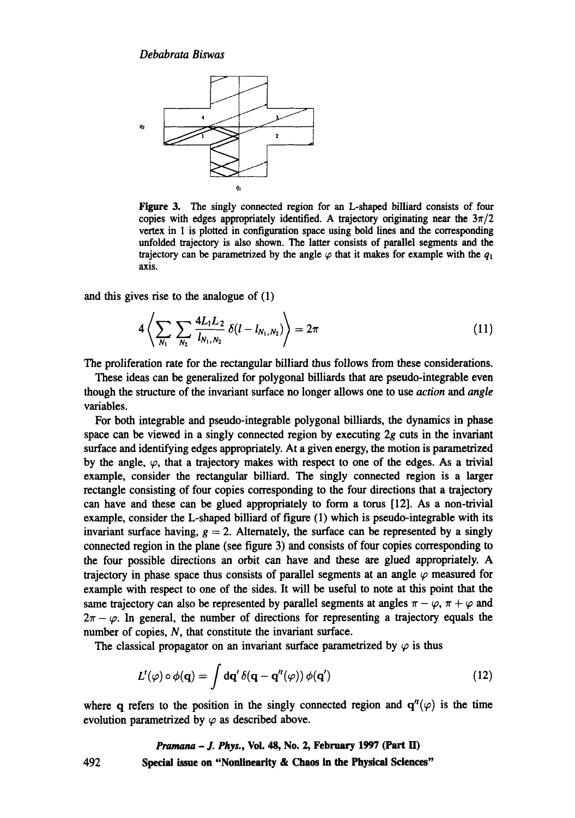

Figure 3. The singly connected region for an L-shaped billiard consists of four copies with edges appropriately identified. A trajectory originating near the  $3\pi/2$ vertex in 1 is plotted in configuration space using bold lines and the corresponding unfolded trajectory is also shown. The latter consists of parallel segments and the trajectory can be parametrized by the angle  $\varphi$  that it makes for example with the  $q_1$ axis.

and this gives rise to the analogue of (1)

$$
4\left\langle \sum_{N_1}\sum_{N_2}\frac{4L_1L_2}{l_{N_1,N_2}}\,\delta(l-l_{N_1,N_2})\right\rangle=2\pi\tag{11}
$$

The proliferation rate for the rectangular billiard thus follows from these considerations.

These ideas can be generalized for polygonal billiards that are pseudo-integrable even though the structure of the invariant surface no longer allows one to use *action and angle*  variables.

For both integrable and pseudo-integrable polygonal billiards, the dynamics in phase space can be viewed in a singly connected region by executing  $2g$  cuts in the invariant surface and identifying edges appropriately. At a given energy, the motion is parametrized by the angle,  $\varphi$ , that a trajectory makes with respect to one of the edges. As a trivial example, consider the rectangular billiard. The singly connected region is a larger rectangle consisting of four copies corresponding to the four directions that a trajectory can have and these can be glued appropriately to form a toms [12]. As a non-trivial example, consider the L-shaped billiard of figure (1) which is pseudo-integrable with its invariant surface having,  $g = 2$ . Alternately, the surface can be represented by a singly connected region in the plane (see figure 3) and consists of four copies corresponding to the four possible directions an orbit can have and these are glued appropriately. A trajectory in phase space thus consists of parallel segments at an angle  $\varphi$  measured for example with respect to one of the sides. It will be useful to note at this point that the same trajectory can also be represented by parallel segments at angles  $\pi - \varphi$ ,  $\pi + \varphi$  and  $2\pi - \varphi$ . In general, the number of directions for representing a trajectory equals the number of copies, N, that constitute the invariant surface.

The classical propagator on an invariant surface parametrized by  $\varphi$  is thus

$$
L^{t}(\varphi) \circ \phi(\mathbf{q}) = \int d\mathbf{q}' \, \delta(\mathbf{q} - \mathbf{q}''(\varphi)) \, \phi(\mathbf{q}') \tag{12}
$$

where q refers to the position in the singly connected region and  $q''(\varphi)$  is the time evolution parametrized by  $\varphi$  as described above.

*Pramana - J. Phys.,* **Vol. 48, No. 2, February 1997 (Part ED 492 Special issue on "Nonlinearity & Chaos in the Physical Sciences"**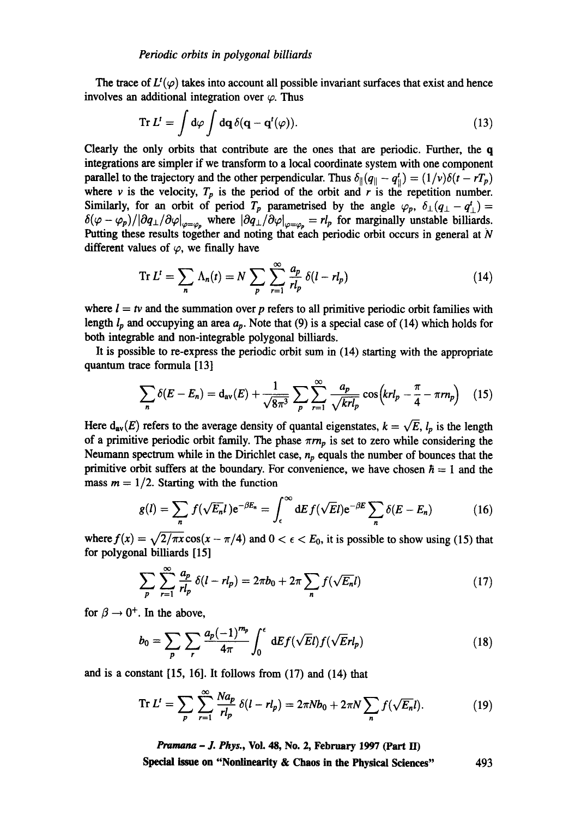The trace of  $L^t(\varphi)$  takes into account all possible invariant surfaces that exist and hence involves an additional integration over  $\varphi$ . Thus

$$
\operatorname{Tr} L^{\prime} = \int d\varphi \int d\mathbf{q} \, \delta(\mathbf{q} - \mathbf{q}^{\prime}(\varphi)). \tag{13}
$$

Clearly the only orbits that contribute are the ones that are periodic. Further, the q integrations are simpler if we transform to a local coordinate system with one component parallel to the trajectory and the other perpendicular. Thus  $\delta_{\parallel}(q_{\parallel} - q_{\parallel}^t) = (1/v)\delta(t - rT_p)$ where v is the velocity,  $T_p$  is the period of the orbit and r is the repetition number. Similarly, for an orbit of period *T<sub>p</sub>* parametrised by the angle  $\varphi_p$ ,  $\delta_{\perp}(q_{\perp} - q_{\perp}^i) =$  $\delta(\varphi - \varphi_p)/|\partial q_{\perp}/\partial \varphi|_{\varphi=\varphi_p}$  where  $|\partial q_{\perp}/\partial \varphi|_{\varphi=\varphi_p} = r l_p$  for marginally unstable billiards. Putting these results together and noting that each periodic orbit occurs in general at N different values of  $\varphi$ , we finally have

$$
\operatorname{Tr} L^t = \sum_n \Lambda_n(t) = N \sum_p \sum_{r=1}^{\infty} \frac{a_p}{r l_p} \delta(l - r l_p) \tag{14}
$$

where  $l = tv$  and the summation over p refers to all primitive periodic orbit families with length  $l_p$  and occupying an area  $a_p$ . Note that (9) is a special case of (14) which holds for both integrable and non-integrable polygonal billiards.

It is possible to re-express the periodic orbit sum in (14) starting with the appropriate quantum trace formula [13]

$$
\sum_{n} \delta(E - E_{n}) = d_{\text{av}}(E) + \frac{1}{\sqrt{8\pi^{3}}} \sum_{p} \sum_{r=1}^{\infty} \frac{a_{p}}{\sqrt{krl_{p}}} \cos\left(krl_{p} - \frac{\pi}{4} - \pi rn_{p}\right) \quad (15)
$$

Here  $d_{av}(E)$  refers to the average density of quantal eigenstates,  $k = \sqrt{E}$ ,  $l_p$  is the length of a primitive periodic orbit family. The phase  $\pi m_p$  is set to zero while considering the Neumann spectrum while in the Dirichlet case,  $n_p$  equals the number of bounces that the primitive orbit suffers at the boundary. For convenience, we have chosen  $\hbar = 1$  and the mass  $m = 1/2$ . Starting with the function

$$
g(l) = \sum_{n} f(\sqrt{E_n}l) e^{-\beta E_n} = \int_{\epsilon}^{\infty} dE f(\sqrt{E}l) e^{-\beta E} \sum_{n} \delta(E - E_n)
$$
 (16)

where  $f(x) = \sqrt{2/\pi x} \cos(x - \pi/4)$  and  $0 < \epsilon < E_0$ , it is possible to show using (15) that for polygonal billiards [15]

$$
\sum_{p} \sum_{r=1}^{\infty} \frac{a_p}{rl_p} \delta(l - rl_p) = 2\pi b_0 + 2\pi \sum_{n} f(\sqrt{E_n}l)
$$
\n(17)

for  $\beta \rightarrow 0^+$ . In the above,

$$
b_0 = \sum_p \sum_r \frac{a_p (-1)^{m_p}}{4\pi} \int_0^{\epsilon} dE f(\sqrt{E}l) f(\sqrt{E}rl_p)
$$
 (18)

and is a constant [15, 16]. It follows from (17) and (14) that

$$
\text{Tr } L^t = \sum_{p} \sum_{r=1}^{\infty} \frac{N a_p}{r l_p} \, \delta(l - r l_p) = 2\pi N b_0 + 2\pi N \sum_{n} f(\sqrt{E_n} l). \tag{19}
$$

*Pramana- J. Phys.,* **Vol. 48, No. 2, February 1997 (Part lI)** 

**Special issue on "Nonlinearity & Chaos in the Physical Sciences"** 493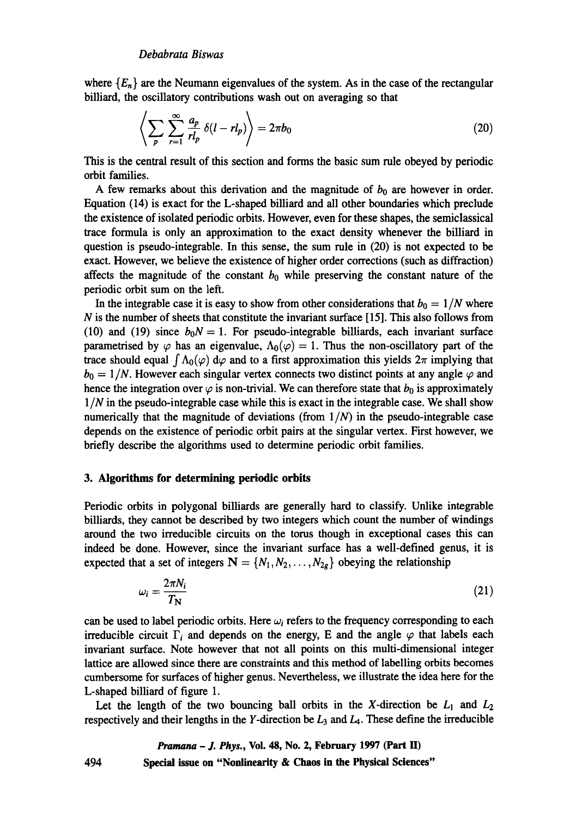where  ${E_n}$  are the Neumann eigenvalues of the system. As in the case of the rectangular billiard, the oscillatory contributions wash out on averaging so that

$$
\left\langle \sum_{p} \sum_{r=1}^{\infty} \frac{a_p}{r l_p} \delta(l - r l_p) \right\rangle = 2\pi b_0 \tag{20}
$$

This is the central result of this section and forms the basic sum rule obeyed by periodic orbit families.

A few remarks about this derivation and the magnitude of  $b_0$  are however in order. Equation (14) is exact for the L-shaped billiard and all other boundaries which preclude the existence of isolated periodic orbits. However, even for these shapes, the semiclassical trace formula is only an approximation to the exact density whenever the billiard in question is pseudo-integrable. In this sense, the sum rule in (20) is not expected to be exact. However, we believe the existence of higher order corrections (such as diffraction) affects the magnitude of the constant  $b_0$  while preserving the constant nature of the periodic orbit sum on the left.

In the integrable case it is easy to show from other considerations that  $b_0 = 1/N$  where  $N$  is the number of sheets that constitute the invariant surface [15]. This also follows from (10) and (19) since  $b_0N = 1$ . For pseudo-integrable billiards, each invariant surface parametrised by  $\varphi$  has an eigenvalue,  $\Lambda_0(\varphi) = 1$ . Thus the non-oscillatory part of the trace should equal  $\int \Lambda_0(\varphi) d\varphi$  and to a first approximation this yields  $2\pi$  implying that  $b_0 = 1/N$ . However each singular vertex connects two distinct points at any angle  $\varphi$  and hence the integration over  $\varphi$  is non-trivial. We can therefore state that  $b_0$  is approximately *1/N* in the pseudo-integrable case while this is exact in the integrable case. We shall show numerically that the magnitude of deviations (from  $1/N$ ) in the pseudo-integrable case depends on the existence of periodic orbit pairs at the singular vertex. First however, we briefly describe the algorithms used to determine periodic orbit families.

### **3. Algorithm~ for determining periodic orbits**

Periodic orbits in polygonal billiards are generally hard to classify. Unlike integrable billiards, they cannot be described by two integers which count the number of windings around the two irreducible circuits on the torus though in exceptional cases this can indeed be done. However, since the invariant surface has a well-defined genus, it is expected that a set of integers  $N = \{N_1, N_2, \ldots, N_{2g}\}\$  obeying the relationship

$$
\omega_i = \frac{2\pi N_i}{T_N} \tag{21}
$$

can be used to label periodic orbits. Here  $\omega_i$  refers to the frequency corresponding to each irreducible circuit  $\Gamma_i$  and depends on the energy, E and the angle  $\varphi$  that labels each invariant surface. Note however that not all points on this multi-dimensional integer lattice are allowed since there are constraints and this method of labelling orbits becomes cumbersome for surfaces of higher genus. Nevertheless, we illustrate the idea here for the L-shaped billiard of figure 1.

Let the length of the two bouncing ball orbits in the X-direction be  $L_1$  and  $L_2$ respectively and their lengths in the Y-direction be  $L_3$  and  $L_4$ . These define the irreducible

#### 494 *Pramana - J. Phys.,* **Vol. 48, No. 2, February 1997 (Part H) Special issue on "Nonlinearity & Chaos in the Physical Sciences"**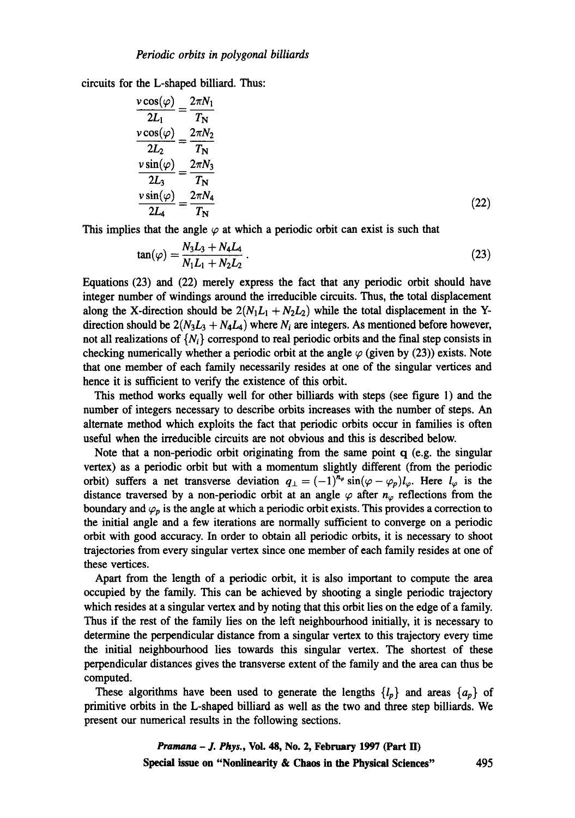circuits for the L-shaped billiard. Thus:

$$
\frac{v \cos(\varphi)}{2L_1} = \frac{2\pi N_1}{T_N}
$$
  
\n
$$
\frac{v \cos(\varphi)}{2L_2} = \frac{2\pi N_2}{T_N}
$$
  
\n
$$
\frac{v \sin(\varphi)}{2L_3} = \frac{2\pi N_3}{T_N}
$$
  
\n
$$
\frac{v \sin(\varphi)}{2L_4} = \frac{2\pi N_4}{T_N}
$$
\n(22)

This implies that the angle  $\varphi$  at which a periodic orbit can exist is such that

$$
\tan(\varphi) = \frac{N_3 L_3 + N_4 L_4}{N_1 L_1 + N_2 L_2} \,. \tag{23}
$$

Equations (23) and (22) merely express the fact that any periodic orbit should have integer number of windings around the irreducible circuits. Thus, the total displacement along the X-direction should be  $2(N_1L_1 + N_2L_2)$  while the total displacement in the Ydirection should be  $2(N_3L_3 + N_4L_4)$  where  $N_i$  are integers. As mentioned before however, not all realizations of  $\{N_i\}$  correspond to real periodic orbits and the final step consists in checking numerically whether a periodic orbit at the angle  $\varphi$  (given by (23)) exists. Note that one member of each family necessarily resides at one of the singular vertices and hence it is sufficient to verify the existence of this orbit.

This method works equally well for other billiards with steps (see figure 1) and the number of integers necessary to describe orbits increases with the number of steps. An alternate method which exploits the fact that periodic orbits occur in families is often useful when the irreducible circuits are not obvious and this is described below.

Note that a non-periodic orbit originating from the same point  $q$  (e.g. the singular vertex) as a periodic orbit but with a momentum slightly different (from the periodic orbit) suffers a net transverse deviation  $q_{\perp} = (-1)^{n_{\varphi}} \sin(\varphi - \varphi_p) l_{\varphi}$ . Here  $l_{\varphi}$  is the distance traversed by a non-periodic orbit at an angle  $\varphi$  after  $n_{\varphi}$  reflections from the boundary and  $\varphi_p$  is the angle at which a periodic orbit exists. This provides a correction to the initial angle and a few iterations are normally sufficient to converge on a periodic orbit with good accuracy. In order to obtain all periodic orbits, it is necessary to shoot trajectories from every singular vertex since one member of each family resides at one of these vertices.

Apart from the length of a periodic orbit, it is also important to compute the area occupied by the family. This can be achieved by shooting a single periodic trajectory which resides at a singular vertex and by noting that this orbit lies on the edge of a family. Thus if the rest of the family lies on the left neighbourhood initially, it is necessary to determine the perpendicular distance from a singular vertex to this trajectory every time the initial neighbourhood lies towards this singular vertex. The shortest of these perpendicular distances gives the transverse extent of the family and the area can thus be computed.

These algorithms have been used to generate the lengths  ${l_p}$  and areas  ${a_p}$  of primitive orbits in the L-shaped billiard as well as the two and three step billiards. We present our numerical results in the following sections.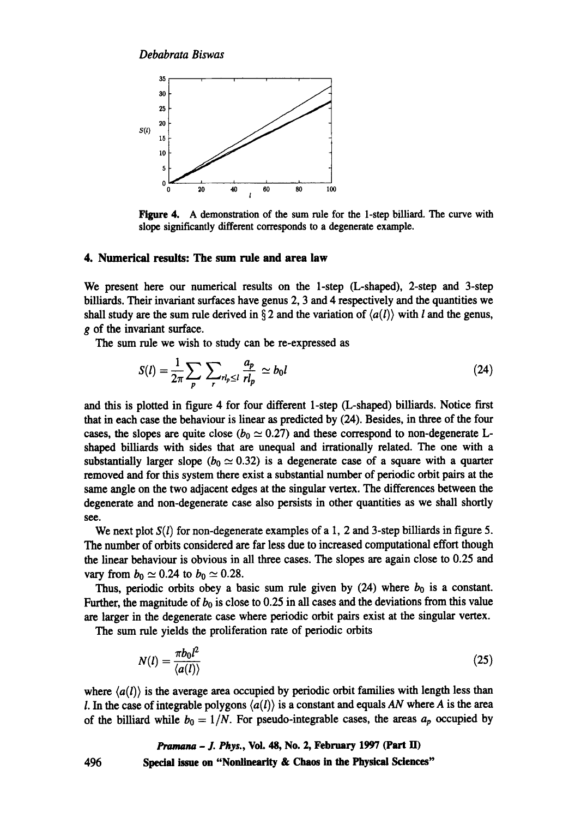

Figure 4. A demonstration of the sum rule for the 1-step billiard. The curve with slope significantly different corresponds to a degenerate example.

### **4. Numerical results: The sum rule and area law**

We present here our numerical results on the 1-step (L-shaped), 2-step and 3-step billiards. Their invariant surfaces have genus 2, 3 and 4 respectively and the quantities we shall study are the sum rule derived in § 2 and the variation of  $\langle a(l) \rangle$  with *l* and the genus, g of the invariant surface.

The sum rule we wish to study can be re-expressed as

$$
S(l) = \frac{1}{2\pi} \sum_{p} \sum_{r} r_{l_p \le l} \frac{a_p}{rl_p} \simeq b_0 l \tag{24}
$$

and this is plotted in figure 4 for four different 1-step (L-shaped) billiards. Notice first that in each ease the behaviour is linear as predicted by (24). Besides, in three of the four cases, the slopes are quite close ( $b_0 \simeq 0.27$ ) and these correspond to non-degenerate Lshaped billiards with sides that are unequal and irrationally related. The one with a substantially larger slope ( $b_0 \simeq 0.32$ ) is a degenerate case of a square with a quarter removed and for this system there exist a substantial number of periodic orbit pairs at the same angle on the two adjacent edges at the singular vertex. The differences between the degenerate and non-degenerate case also persists in other quantities as we shall shortly see.

We next plot *S(l)* for non-degenerate examples of a I, 2 and 3-step billiards in figure 5. The number of orbits considered are far less due to increased computational effort though the linear behaviour is obvious in all three cases. The slopes are again close to 0.25 and vary from  $b_0 \simeq 0.24$  to  $b_0 \simeq 0.28$ .

Thus, periodic orbits obey a basic sum rule given by  $(24)$  where  $b_0$  is a constant. Further, the magnitude of  $b_0$  is close to 0.25 in all cases and the deviations from this value are larger in the degenerate case where periodic orbit pairs exist at the singular vertex.

The sum rule yields the proliferation rate of periodic orbits

$$
N(l) = \frac{\pi b_0 l^2}{\langle a(l) \rangle} \tag{25}
$$

where  $\langle a(l) \rangle$  is the average area occupied by periodic orbit families with length less than *I*. In the case of integrable polygons  $\langle a(l) \rangle$  is a constant and equals AN where A is the area of the billiard while  $b_0 = 1/N$ . For pseudo-integrable cases, the areas  $a_p$  occupied by

## *Pramana - J. Phys.,* **Voi. 48, No. 2, February 1997 (Part** lI)

**496 Spedal issue on "Nonlinearity & Chaos in the Physical Sciences"**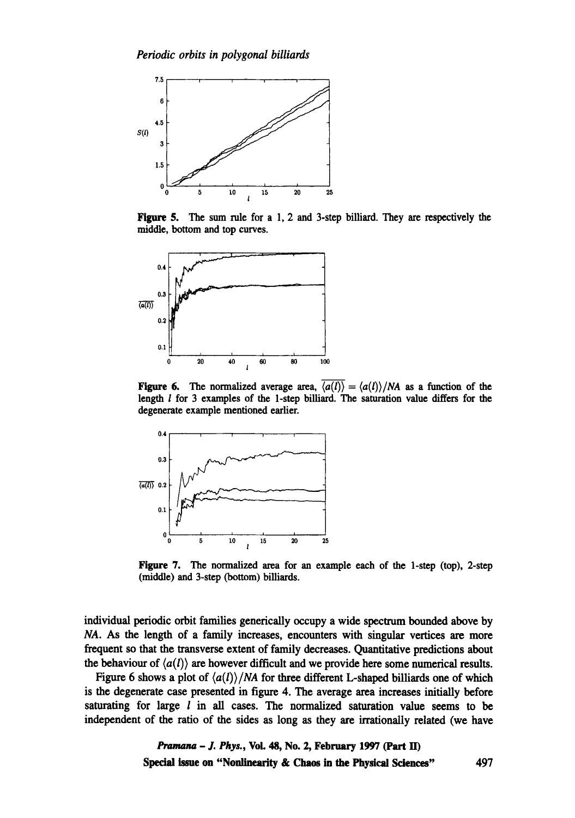

Figure 5. The sum rule for a 1, 2 and 3-step billiard. They are respectively the middle, bottom and top curves.



Figure 6. The normalized average area,  $\overline{\langle a(l) \rangle} = \langle a(l) \rangle / NA$  as a function of the length  $l$  for 3 examples of the 1-step billiard. The saturation value differs for the degenerate example mentioned earlier.



Figure 7. The normalized area for an example each of the 1-step (top), 2-step (middle) and 3-step (bottom) billiards.

individual periodic orbit families generically occupy a wide spectrum bounded above by *NA.* As the length of a family increases, encounters with singular vertices are more frequent so that the transverse extent of family decreases. Quantitative predictions about the behaviour of  $\langle a(l) \rangle$  are however difficult and we provide here some numerical results.

Figure 6 shows a plot of  $\langle a(l) \rangle/NA$  for three different L-shaped billiards one of which is the degenerate case presented in figure 4. The average area increases initially before saturating for large  $l$  in all cases. The normalized saturation value seems to be independent of the ratio of the sides as long as they are irrationally related (we have

> *Pramana - J. Phys.,* Vol. 48, No. 2, February 1997 (Part ID Special issne on "Nonlinearity **& Chaos in the Physical Sciences"** 497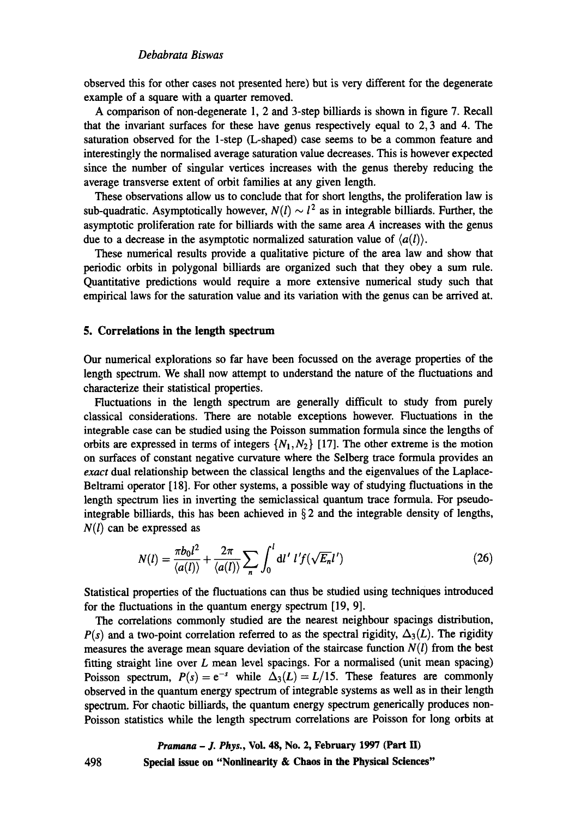### *Debabrata Biswas*

observed this for other cases not presented here) but is very different for the degenerate example of a square with a quarter removed.

A comparison of non-degenerate 1, 2 and 3-step billiards is shown in figure 7. Recall that the invariant surfaces for these have genus respectively equal to 2, 3 and 4. The saturation observed for the 1-step (L-shaped) case seems to be a common feature and interestingly the normalised average saturation value decreases. This is however expected since the number of singular vertices increases with the genus thereby reducing the average transverse extent of orbit families at any given length.

These observations allow us to conclude that for short lengths, the proliferation law is sub-quadratic. Asymptotically however,  $N(l) \sim l^2$  as in integrable billiards. Further, the asymptotic proliferation rate for billiards with the same area A increases with the genus due to a decrease in the asymptotic normalized saturation value of  $\langle a(l) \rangle$ .

These numerical results provide a qualitative picture of the area law and show that periodic orbits in polygonal billiards are organized such that they obey a sum rule. Quantitative predictions would require a more extensive numerical study such that empirical laws for the saturation value and its variation with the genus can be arrived at.

### **5. Correlations in the length spectrum**

498

Our numerical explorations so far have been focussed on the average properties of the length spectrum. We shall now attempt to understand the nature of the fluctuations and characterize their statistical properties.

Fluctuations in the length spectrum are generally difficult to study from purely classical considerations. There are notable exceptions however. Fluctuations in the integrable case can be studied using the Poisson summation formula since the lengths of orbits are expressed in terms of integers  $\{N_1, N_2\}$  [17]. The other extreme is the motion on surfaces of constant negative curvature where the Selberg trace formula provides an *exact* dual relationship between the classical lengths and the eigenvalues of the Laplace-Beltrami operator [18]. For other systems, a possible way of studying fluctuations in the length spectrum lies in inverting the semiclassical quantum trace formula. For pseudointegrable billiards, this has been achieved in  $\S 2$  and the integrable density of lengths, *N(1)* can be expressed as

$$
N(l) = \frac{\pi b_0 l^2}{\langle a(l) \rangle} + \frac{2\pi}{\langle a(l) \rangle} \sum_{n} \int_0^l \mathrm{d}l' \; l' f(\sqrt{E_n} l') \tag{26}
$$

Statistical properties of the fluctuations can thus be studied using techniques introduced for the fluctuations in the quantum energy spectrum [19, 9].

The correlations commonly studied are the nearest neighbour spacings distribution,  $P(s)$  and a two-point correlation referred to as the spectral rigidity,  $\Delta_3(L)$ . The rigidity measures the average mean square deviation of the staircase function  $N(l)$  from the best fitting straight line over  $L$  mean level spacings. For a normalised (unit mean spacing) Poisson spectrum,  $P(s) = e^{-s}$  while  $\Delta_3(L) = L/15$ . These features are commonly observed in the quantum energy spectrum of integrable systems as well as in their length spectrum. For chaotic billiards, the quantum energy spectrum generically produces non-Poisson statistics while the length spectrum correlations are Poisson for long orbits at

*Pramana - J. Phys.,* **Vol. 48, No. 2, February 1997 (Part H) Special issue on "Nonlinearity & Chaos in the Physical Sciences"**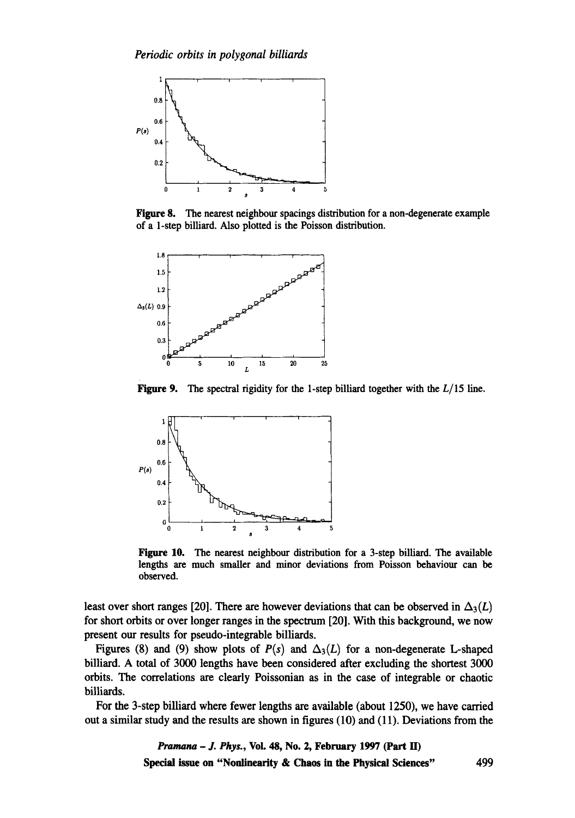

Figure 8. The nearest neighbour spacings distribution for a non-degenerate example of a 1-step billiard. Also plotted is the Poisson distribution.



Figure 9. The spectral rigidity for the 1-step billiard together with the *L/15 line.* 



Figure 10. The nearest neighbour distribution for a 3-step billiard. The available lengths are much smaller and minor deviations from Poisson behaviour can be observed.

least over short ranges [20]. There are however deviations that can be observed in  $\Delta_3(L)$ for short orbits or over longer ranges in the spectrum [20]. With this background, we now present our results for pseudo-integrable billiards.

Figures (8) and (9) show plots of  $P(s)$  and  $\Delta_3(L)$  for a non-degenerate L-shaped billiard. A total of 3000 lengths have been considered after excluding the shortest 3000 orbits. The correlations are clearly Poissonian as in the case of integrable or chaotic billiards.

For the 3-step billiard where fewer lengths are available (about 1250), we have carried out a similar study and the results are shown in figures (10) and (11). Deviations from the

> *Pramana - J. Phys.,* Vol. 48, No. 2, February 1997 (Part H) Special issue on "Nonlinearity **& Chaos in the Physical Sciences"** 499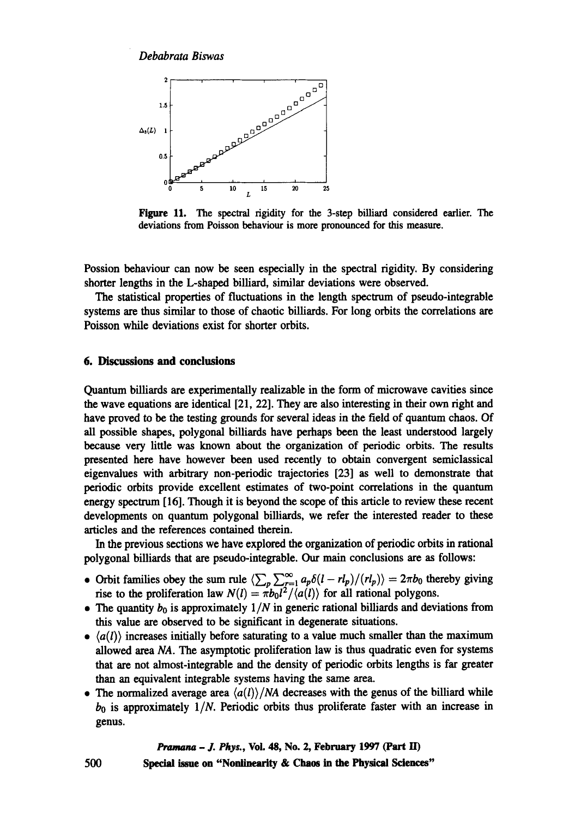*Debabrata Biswas* 



Figure 11. The spectral rigidity for the 3-step billiard considered earlier. The deviations from Poisson behaviour is more pronounced for this measure.

Possion behaviour can now be seen especially in the spectral rigidity. By considering shorter lengths in the L-shaped billiard, similar deviations were observed.

The statistical properties of fluctuations in the length spectrum of pseudo-integrable systems are thus similar to those of chaotic billiards. For long orbits the correlations are Poisson while deviations exist for shorter orbits.

### **6. Discussions and conclusions**

Quantum billiards are experimentally realizable in the form of microwave cavities since the wave equations are identical [21, 22]. They are also interesting in their own right and have proved to be the testing grounds for several ideas in the field of quantum chaos. Of all possible shapes, polygonal billiards have perhaps been the least understood largely because very little was known about the organization of periodic orbits. The results presented here have however been used recently to obtain convergent semiclassical eigenvalues with arbitrary non-periodic trajectories [23] as well to demonstrate that periodic orbits provide excellent estimates of two-point correlations in the quantum energy spectrmn [16]. Though it is beyond the scope of this article to review these recent developments on quantum polygonal billiards, we refer the interested reader to these articles and the references contained therein.

In the previous sections we have explored the organization of periodic orbits in rational polygonal billiards that are pseudo-integrable. Our main conclusions are as follows:

- Orbit families obey the sum rule  $\langle \sum_{p} \sum_{r=1}^{\infty} a_p \delta(l r l_p)/(r l_p) \rangle = 2\pi b_0$  thereby giving rise to the proliferation law  $N(l) = \pi b_0 l^2 / \langle a(l) \rangle$  for all rational polygons.
- The quantity  $b_0$  is approximately  $1/N$  in generic rational billiards and deviations from this value are observed to be significant in degenerate situations.
- $\langle a(l) \rangle$  increases initially before saturating to a value much smaller than the maximum allowed area *NA. The* asymptotic proliferation law is thus quadratic even for systems that are not almost-integrable and the density of periodic orbits lengths is far greater than an equivalent integrable systems having the same area.
- The normalized average area  $\langle a(l) \rangle / NA$  decreases with the genus of the billiard while  $b_0$  is approximately  $1/N$ . Periodic orbits thus proliferate faster with an increase in genus.

#### *Pramana - J. Phys.,* Voi. 48, No. 2, February 1997 (Part ID

**500** Special issue **on "Nonlinearity & Chaos in the Physical Sciences"**